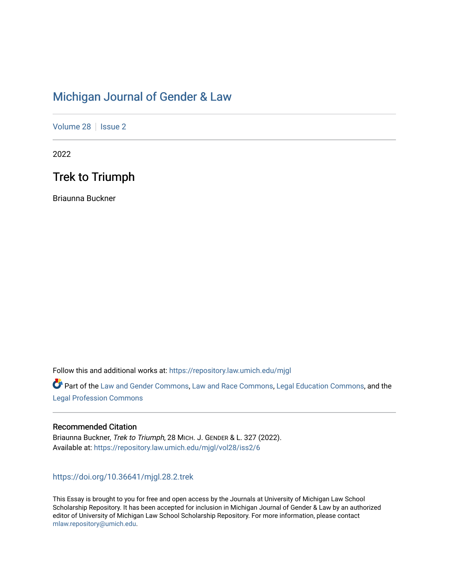# [Michigan Journal of Gender & Law](https://repository.law.umich.edu/mjgl)

[Volume 28](https://repository.law.umich.edu/mjgl/vol28) | [Issue 2](https://repository.law.umich.edu/mjgl/vol28/iss2)

2022

# Trek to Triumph

Briaunna Buckner

Follow this and additional works at: [https://repository.law.umich.edu/mjgl](https://repository.law.umich.edu/mjgl?utm_source=repository.law.umich.edu%2Fmjgl%2Fvol28%2Fiss2%2F6&utm_medium=PDF&utm_campaign=PDFCoverPages)

Part of the [Law and Gender Commons,](https://network.bepress.com/hgg/discipline/1298?utm_source=repository.law.umich.edu%2Fmjgl%2Fvol28%2Fiss2%2F6&utm_medium=PDF&utm_campaign=PDFCoverPages) [Law and Race Commons,](https://network.bepress.com/hgg/discipline/1300?utm_source=repository.law.umich.edu%2Fmjgl%2Fvol28%2Fiss2%2F6&utm_medium=PDF&utm_campaign=PDFCoverPages) [Legal Education Commons,](https://network.bepress.com/hgg/discipline/857?utm_source=repository.law.umich.edu%2Fmjgl%2Fvol28%2Fiss2%2F6&utm_medium=PDF&utm_campaign=PDFCoverPages) and the [Legal Profession Commons](https://network.bepress.com/hgg/discipline/1075?utm_source=repository.law.umich.edu%2Fmjgl%2Fvol28%2Fiss2%2F6&utm_medium=PDF&utm_campaign=PDFCoverPages)

# Recommended Citation

Briaunna Buckner, Trek to Triumph, 28 MICH. J. GENDER & L. 327 (2022). Available at: [https://repository.law.umich.edu/mjgl/vol28/iss2/6](https://repository.law.umich.edu/mjgl/vol28/iss2/6?utm_source=repository.law.umich.edu%2Fmjgl%2Fvol28%2Fiss2%2F6&utm_medium=PDF&utm_campaign=PDFCoverPages) 

# <https://doi.org/10.36641/mjgl.28.2.trek>

This Essay is brought to you for free and open access by the Journals at University of Michigan Law School Scholarship Repository. It has been accepted for inclusion in Michigan Journal of Gender & Law by an authorized editor of University of Michigan Law School Scholarship Repository. For more information, please contact [mlaw.repository@umich.edu.](mailto:mlaw.repository@umich.edu)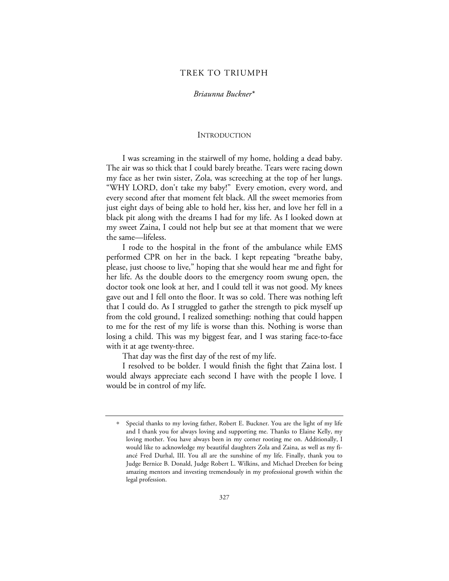## TREK TO TRIUMPH

#### *Briaunna Buckner*\*

#### INTRODUCTION

I was screaming in the stairwell of my home, holding a dead baby. The air was so thick that I could barely breathe. Tears were racing down my face as her twin sister, Zola, was screeching at the top of her lungs. "WHY LORD, don't take my baby!" Every emotion, every word, and every second after that moment felt black. All the sweet memories from just eight days of being able to hold her, kiss her, and love her fell in a black pit along with the dreams I had for my life. As I looked down at my sweet Zaina, I could not help but see at that moment that we were the same—lifeless.

I rode to the hospital in the front of the ambulance while EMS performed CPR on her in the back. I kept repeating "breathe baby, please, just choose to live," hoping that she would hear me and fight for her life. As the double doors to the emergency room swung open, the doctor took one look at her, and I could tell it was not good. My knees gave out and I fell onto the floor. It was so cold. There was nothing left that I could do. As I struggled to gather the strength to pick myself up from the cold ground, I realized something: nothing that could happen to me for the rest of my life is worse than this. Nothing is worse than losing a child. This was my biggest fear, and I was staring face-to-face with it at age twenty-three.

That day was the first day of the rest of my life.

I resolved to be bolder. I would finish the fight that Zaina lost. I would always appreciate each second I have with the people I love. I would be in control of my life.

<sup>∗</sup> Special thanks to my loving father, Robert E. Buckner. You are the light of my life and I thank you for always loving and supporting me. Thanks to Elaine Kelly, my loving mother. You have always been in my corner rooting me on. Additionally, I would like to acknowledge my beautiful daughters Zola and Zaina, as well as my fiancé Fred Durhal, III. You all are the sunshine of my life. Finally, thank you to Judge Bernice B. Donald, Judge Robert L. Wilkins, and Michael Dreeben for being amazing mentors and investing tremendously in my professional growth within the legal profession.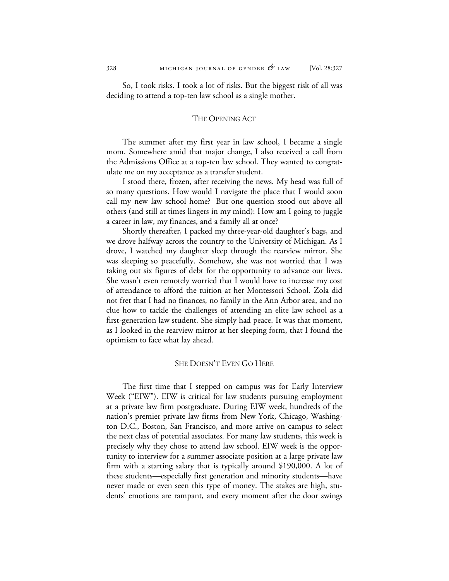So, I took risks. I took a lot of risks. But the biggest risk of all was deciding to attend a top-ten law school as a single mother.

### THE OPENING ACT

The summer after my first year in law school, I became a single mom. Somewhere amid that major change, I also received a call from the Admissions Office at a top-ten law school. They wanted to congratulate me on my acceptance as a transfer student.

I stood there, frozen, after receiving the news. My head was full of so many questions. How would I navigate the place that I would soon call my new law school home? But one question stood out above all others (and still at times lingers in my mind): How am I going to juggle a career in law, my finances, and a family all at once?

Shortly thereafter, I packed my three-year-old daughter's bags, and we drove halfway across the country to the University of Michigan. As I drove, I watched my daughter sleep through the rearview mirror. She was sleeping so peacefully. Somehow, she was not worried that I was taking out six figures of debt for the opportunity to advance our lives. She wasn't even remotely worried that I would have to increase my cost of attendance to afford the tuition at her Montessori School. Zola did not fret that I had no finances, no family in the Ann Arbor area, and no clue how to tackle the challenges of attending an elite law school as a first-generation law student. She simply had peace. It was that moment, as I looked in the rearview mirror at her sleeping form, that I found the optimism to face what lay ahead.

#### SHE DOESN'T EVEN GO HERE

The first time that I stepped on campus was for Early Interview Week ("EIW"). EIW is critical for law students pursuing employment at a private law firm postgraduate. During EIW week, hundreds of the nation's premier private law firms from New York, Chicago, Washington D.C., Boston, San Francisco, and more arrive on campus to select the next class of potential associates. For many law students, this week is precisely why they chose to attend law school. EIW week is the opportunity to interview for a summer associate position at a large private law firm with a starting salary that is typically around \$190,000. A lot of these students—especially first generation and minority students—have never made or even seen this type of money. The stakes are high, students' emotions are rampant, and every moment after the door swings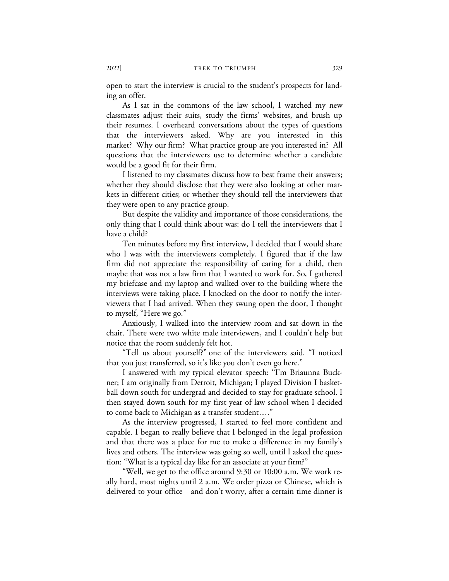open to start the interview is crucial to the student's prospects for landing an offer.

As I sat in the commons of the law school, I watched my new classmates adjust their suits, study the firms' websites, and brush up their resumes. I overheard conversations about the types of questions that the interviewers asked. Why are you interested in this market? Why our firm? What practice group are you interested in? All questions that the interviewers use to determine whether a candidate would be a good fit for their firm.

I listened to my classmates discuss how to best frame their answers; whether they should disclose that they were also looking at other markets in different cities; or whether they should tell the interviewers that they were open to any practice group.

But despite the validity and importance of those considerations, the only thing that I could think about was: do I tell the interviewers that I have a child?

Ten minutes before my first interview, I decided that I would share who I was with the interviewers completely. I figured that if the law firm did not appreciate the responsibility of caring for a child, then maybe that was not a law firm that I wanted to work for. So, I gathered my briefcase and my laptop and walked over to the building where the interviews were taking place. I knocked on the door to notify the interviewers that I had arrived. When they swung open the door, I thought to myself, "Here we go."

Anxiously, I walked into the interview room and sat down in the chair. There were two white male interviewers, and I couldn't help but notice that the room suddenly felt hot.

"Tell us about yourself?" one of the interviewers said. "I noticed that you just transferred, so it's like you don't even go here."

I answered with my typical elevator speech: "I'm Briaunna Buckner; I am originally from Detroit, Michigan; I played Division I basketball down south for undergrad and decided to stay for graduate school. I then stayed down south for my first year of law school when I decided to come back to Michigan as a transfer student…."

As the interview progressed, I started to feel more confident and capable. I began to really believe that I belonged in the legal profession and that there was a place for me to make a difference in my family's lives and others. The interview was going so well, until I asked the question: "What is a typical day like for an associate at your firm?"

"Well, we get to the office around 9:30 or 10:00 a.m. We work really hard, most nights until 2 a.m. We order pizza or Chinese, which is delivered to your office—and don't worry, after a certain time dinner is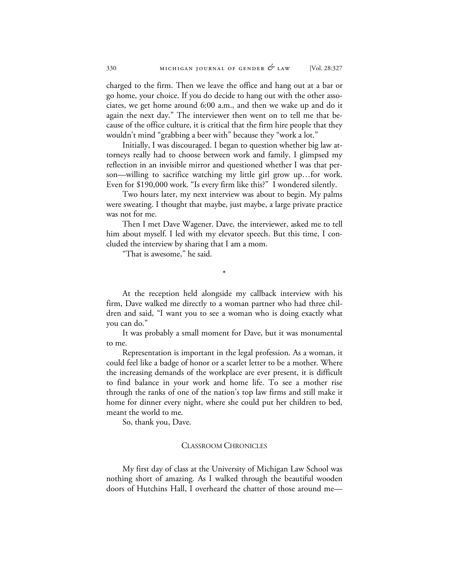charged to the firm. Then we leave the office and hang out at a bar or go home, your choice. If you do decide to hang out with the other associates, we get home around 6:00 a.m., and then we wake up and do it again the next day." The interviewer then went on to tell me that because of the office culture, it is critical that the firm hire people that they wouldn't mind "grabbing a beer with" because they "work a lot."

Initially, I was discouraged. I began to question whether big law attorneys really had to choose between work and family. I glimpsed my reflection in an invisible mirror and questioned whether I was that person—willing to sacrifice watching my little girl grow up…for work. Even for \$190,000 work. "Is every firm like this?" I wondered silently.

Two hours later, my next interview was about to begin. My palms were sweating. I thought that maybe, just maybe, a large private practice was not for me.

Then I met Dave Wagener. Dave, the interviewer, asked me to tell him about myself. I led with my elevator speech. But this time, I concluded the interview by sharing that I am a mom.

\*

"That is awesome," he said.

At the reception held alongside my callback interview with his firm, Dave walked me directly to a woman partner who had three children and said, "I want you to see a woman who is doing exactly what you can do."

It was probably a small moment for Dave, but it was monumental to me.

Representation is important in the legal profession. As a woman, it could feel like a badge of honor or a scarlet letter to be a mother. Where the increasing demands of the workplace are ever present, it is difficult to find balance in your work and home life. To see a mother rise through the ranks of one of the nation's top law firms and still make it home for dinner every night, where she could put her children to bed, meant the world to me.

So, thank you, Dave.

### CLASSROOM CHRONICLES

My first day of class at the University of Michigan Law School was nothing short of amazing. As I walked through the beautiful wooden doors of Hutchins Hall, I overheard the chatter of those around me—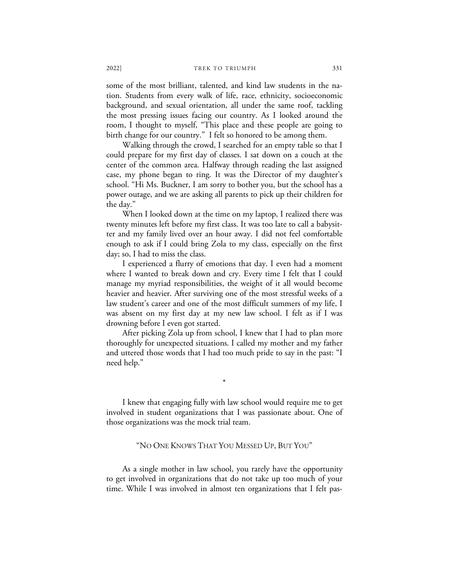some of the most brilliant, talented, and kind law students in the nation. Students from every walk of life, race, ethnicity, socioeconomic background, and sexual orientation, all under the same roof, tackling the most pressing issues facing our country. As I looked around the room, I thought to myself, "This place and these people are going to birth change for our country." I felt so honored to be among them.

Walking through the crowd, I searched for an empty table so that I could prepare for my first day of classes. I sat down on a couch at the center of the common area. Halfway through reading the last assigned case, my phone began to ring. It was the Director of my daughter's school. "Hi Ms. Buckner, I am sorry to bother you, but the school has a power outage, and we are asking all parents to pick up their children for the day."

When I looked down at the time on my laptop, I realized there was twenty minutes left before my first class. It was too late to call a babysitter and my family lived over an hour away. I did not feel comfortable enough to ask if I could bring Zola to my class, especially on the first day; so, I had to miss the class.

I experienced a flurry of emotions that day. I even had a moment where I wanted to break down and cry. Every time I felt that I could manage my myriad responsibilities, the weight of it all would become heavier and heavier. After surviving one of the most stressful weeks of a law student's career and one of the most difficult summers of my life, I was absent on my first day at my new law school. I felt as if I was drowning before I even got started.

After picking Zola up from school, I knew that I had to plan more thoroughly for unexpected situations. I called my mother and my father and uttered those words that I had too much pride to say in the past: "I need help."

I knew that engaging fully with law school would require me to get involved in student organizations that I was passionate about. One of those organizations was the mock trial team.

\*

#### "NO ONE KNOWS THAT YOU MESSED UP, BUT YOU"

As a single mother in law school, you rarely have the opportunity to get involved in organizations that do not take up too much of your time. While I was involved in almost ten organizations that I felt pas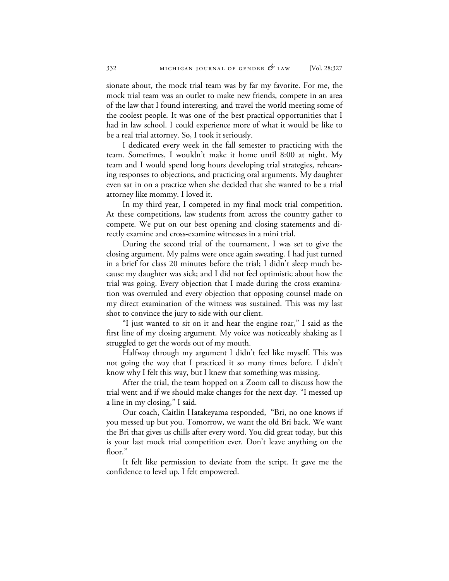sionate about, the mock trial team was by far my favorite. For me, the mock trial team was an outlet to make new friends, compete in an area of the law that I found interesting, and travel the world meeting some of the coolest people. It was one of the best practical opportunities that I had in law school. I could experience more of what it would be like to be a real trial attorney. So, I took it seriously.

I dedicated every week in the fall semester to practicing with the team. Sometimes, I wouldn't make it home until 8:00 at night. My team and I would spend long hours developing trial strategies, rehearsing responses to objections, and practicing oral arguments. My daughter even sat in on a practice when she decided that she wanted to be a trial attorney like mommy. I loved it.

In my third year, I competed in my final mock trial competition. At these competitions, law students from across the country gather to compete. We put on our best opening and closing statements and directly examine and cross-examine witnesses in a mini trial.

During the second trial of the tournament, I was set to give the closing argument. My palms were once again sweating. I had just turned in a brief for class 20 minutes before the trial; I didn't sleep much because my daughter was sick; and I did not feel optimistic about how the trial was going. Every objection that I made during the cross examination was overruled and every objection that opposing counsel made on my direct examination of the witness was sustained. This was my last shot to convince the jury to side with our client.

"I just wanted to sit on it and hear the engine roar," I said as the first line of my closing argument. My voice was noticeably shaking as I struggled to get the words out of my mouth.

Halfway through my argument I didn't feel like myself. This was not going the way that I practiced it so many times before. I didn't know why I felt this way, but I knew that something was missing.

After the trial, the team hopped on a Zoom call to discuss how the trial went and if we should make changes for the next day. "I messed up a line in my closing," I said.

Our coach, Caitlin Hatakeyama responded, "Bri, no one knows if you messed up but you. Tomorrow, we want the old Bri back. We want the Bri that gives us chills after every word. You did great today, but this is your last mock trial competition ever. Don't leave anything on the floor."

It felt like permission to deviate from the script. It gave me the confidence to level up. I felt empowered.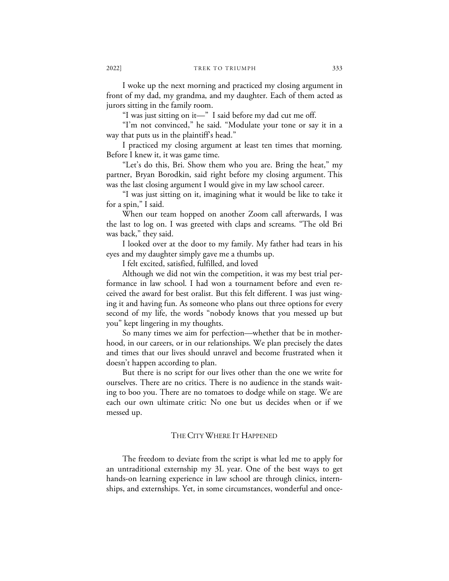I woke up the next morning and practiced my closing argument in front of my dad, my grandma, and my daughter. Each of them acted as jurors sitting in the family room.

"I was just sitting on it—" I said before my dad cut me off.

"I'm not convinced," he said. "Modulate your tone or say it in a way that puts us in the plaintiff's head."

I practiced my closing argument at least ten times that morning. Before I knew it, it was game time.

"Let's do this, Bri. Show them who you are. Bring the heat," my partner, Bryan Borodkin, said right before my closing argument. This was the last closing argument I would give in my law school career.

"I was just sitting on it, imagining what it would be like to take it for a spin," I said.

When our team hopped on another Zoom call afterwards, I was the last to log on. I was greeted with claps and screams. "The old Bri was back," they said.

I looked over at the door to my family. My father had tears in his eyes and my daughter simply gave me a thumbs up.

I felt excited, satisfied, fulfilled, and loved

Although we did not win the competition, it was my best trial performance in law school. I had won a tournament before and even received the award for best oralist. But this felt different. I was just winging it and having fun. As someone who plans out three options for every second of my life, the words "nobody knows that you messed up but you" kept lingering in my thoughts.

So many times we aim for perfection—whether that be in motherhood, in our careers, or in our relationships. We plan precisely the dates and times that our lives should unravel and become frustrated when it doesn't happen according to plan.

But there is no script for our lives other than the one we write for ourselves. There are no critics. There is no audience in the stands waiting to boo you. There are no tomatoes to dodge while on stage. We are each our own ultimate critic: No one but us decides when or if we messed up.

### THE CITY WHERE IT HAPPENED

The freedom to deviate from the script is what led me to apply for an untraditional externship my 3L year. One of the best ways to get hands-on learning experience in law school are through clinics, internships, and externships. Yet, in some circumstances, wonderful and once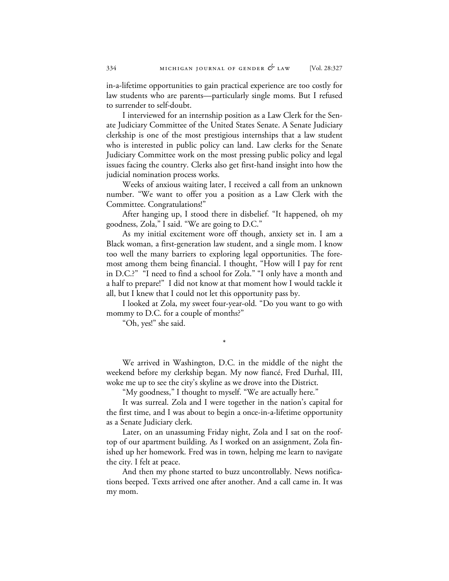in-a-lifetime opportunities to gain practical experience are too costly for law students who are parents—particularly single moms. But I refused to surrender to self-doubt.

I interviewed for an internship position as a Law Clerk for the Senate Judiciary Committee of the United States Senate. A Senate Judiciary clerkship is one of the most prestigious internships that a law student who is interested in public policy can land. Law clerks for the Senate Judiciary Committee work on the most pressing public policy and legal issues facing the country. Clerks also get first-hand insight into how the judicial nomination process works.

Weeks of anxious waiting later, I received a call from an unknown number. "We want to offer you a position as a Law Clerk with the Committee. Congratulations!"

After hanging up, I stood there in disbelief. "It happened, oh my goodness, Zola," I said. "We are going to D.C."

As my initial excitement wore off though, anxiety set in. I am a Black woman, a first-generation law student, and a single mom. I know too well the many barriers to exploring legal opportunities. The foremost among them being financial. I thought, "How will I pay for rent in D.C.?" "I need to find a school for Zola." "I only have a month and a half to prepare!" I did not know at that moment how I would tackle it all, but I knew that I could not let this opportunity pass by.

I looked at Zola, my sweet four-year-old. "Do you want to go with mommy to D.C. for a couple of months?"

"Oh, yes!" she said.

We arrived in Washington, D.C. in the middle of the night the weekend before my clerkship began. My now fiancé, Fred Durhal, III, woke me up to see the city's skyline as we drove into the District.

\*

"My goodness," I thought to myself. "We are actually here."

It was surreal. Zola and I were together in the nation's capital for the first time, and I was about to begin a once-in-a-lifetime opportunity as a Senate Judiciary clerk.

Later, on an unassuming Friday night, Zola and I sat on the rooftop of our apartment building. As I worked on an assignment, Zola finished up her homework. Fred was in town, helping me learn to navigate the city. I felt at peace.

And then my phone started to buzz uncontrollably. News notifications beeped. Texts arrived one after another. And a call came in. It was my mom.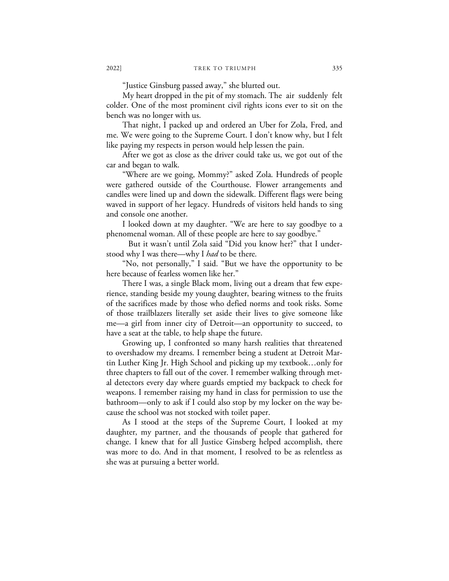"Justice Ginsburg passed away," she blurted out.

My heart dropped in the pit of my stomach. The air suddenly felt colder. One of the most prominent civil rights icons ever to sit on the bench was no longer with us.

That night, I packed up and ordered an Uber for Zola, Fred, and me. We were going to the Supreme Court. I don't know why, but I felt like paying my respects in person would help lessen the pain.

After we got as close as the driver could take us, we got out of the car and began to walk.

"Where are we going, Mommy?" asked Zola. Hundreds of people were gathered outside of the Courthouse. Flower arrangements and candles were lined up and down the sidewalk. Different flags were being waved in support of her legacy. Hundreds of visitors held hands to sing and console one another.

I looked down at my daughter. "We are here to say goodbye to a phenomenal woman. All of these people are here to say goodbye."

But it wasn't until Zola said "Did you know her?" that I understood why I was there—why I *had* to be there.

"No, not personally," I said. "But we have the opportunity to be here because of fearless women like her."

There I was, a single Black mom, living out a dream that few experience, standing beside my young daughter, bearing witness to the fruits of the sacrifices made by those who defied norms and took risks. Some of those trailblazers literally set aside their lives to give someone like me—a girl from inner city of Detroit—an opportunity to succeed, to have a seat at the table, to help shape the future.

Growing up, I confronted so many harsh realities that threatened to overshadow my dreams. I remember being a student at Detroit Martin Luther King Jr. High School and picking up my textbook…only for three chapters to fall out of the cover. I remember walking through metal detectors every day where guards emptied my backpack to check for weapons. I remember raising my hand in class for permission to use the bathroom—only to ask if I could also stop by my locker on the way because the school was not stocked with toilet paper.

As I stood at the steps of the Supreme Court, I looked at my daughter, my partner, and the thousands of people that gathered for change. I knew that for all Justice Ginsberg helped accomplish, there was more to do. And in that moment, I resolved to be as relentless as she was at pursuing a better world.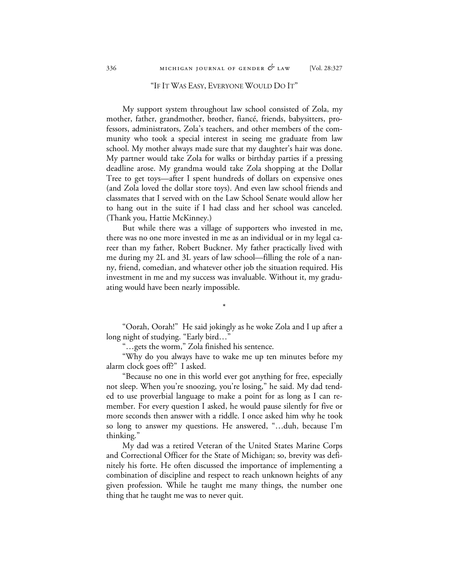### "IF IT WAS EASY, EVERYONE WOULD DO IT"

My support system throughout law school consisted of Zola, my mother, father, grandmother, brother, fiancé, friends, babysitters, professors, administrators, Zola's teachers, and other members of the community who took a special interest in seeing me graduate from law school. My mother always made sure that my daughter's hair was done. My partner would take Zola for walks or birthday parties if a pressing deadline arose. My grandma would take Zola shopping at the Dollar Tree to get toys—after I spent hundreds of dollars on expensive ones (and Zola loved the dollar store toys). And even law school friends and classmates that I served with on the Law School Senate would allow her to hang out in the suite if I had class and her school was canceled. (Thank you, Hattie McKinney.)

But while there was a village of supporters who invested in me, there was no one more invested in me as an individual or in my legal career than my father, Robert Buckner. My father practically lived with me during my 2L and 3L years of law school—filling the role of a nanny, friend, comedian, and whatever other job the situation required. His investment in me and my success was invaluable. Without it, my graduating would have been nearly impossible.

"Oorah, Oorah!" He said jokingly as he woke Zola and I up after a long night of studying. "Early bird…"

\*

"…gets the worm," Zola finished his sentence.

"Why do you always have to wake me up ten minutes before my alarm clock goes off?" I asked.

"Because no one in this world ever got anything for free, especially not sleep. When you're snoozing, you're losing," he said. My dad tended to use proverbial language to make a point for as long as I can remember. For every question I asked, he would pause silently for five or more seconds then answer with a riddle. I once asked him why he took so long to answer my questions. He answered, "…duh, because I'm thinking."

My dad was a retired Veteran of the United States Marine Corps and Correctional Officer for the State of Michigan; so, brevity was definitely his forte. He often discussed the importance of implementing a combination of discipline and respect to reach unknown heights of any given profession. While he taught me many things, the number one thing that he taught me was to never quit.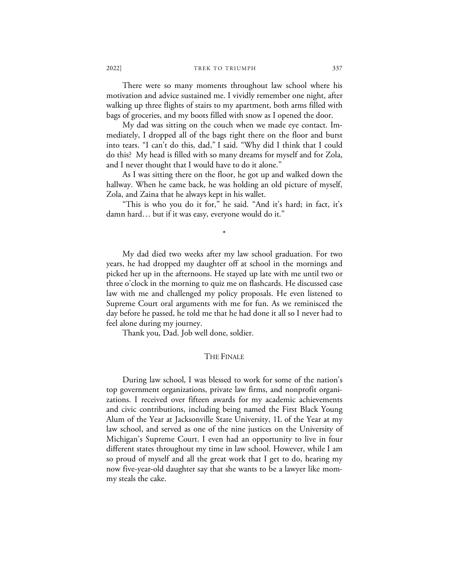2022] TREK TO TRIUMPH 337

There were so many moments throughout law school where his motivation and advice sustained me. I vividly remember one night, after walking up three flights of stairs to my apartment, both arms filled with bags of groceries, and my boots filled with snow as I opened the door.

My dad was sitting on the couch when we made eye contact. Immediately, I dropped all of the bags right there on the floor and burst into tears. "I can't do this, dad," I said. "Why did I think that I could do this? My head is filled with so many dreams for myself and for Zola, and I never thought that I would have to do it alone."

As I was sitting there on the floor, he got up and walked down the hallway. When he came back, he was holding an old picture of myself, Zola, and Zaina that he always kept in his wallet.

"This is who you do it for," he said. "And it's hard; in fact, it's damn hard… but if it was easy, everyone would do it."

\*

My dad died two weeks after my law school graduation. For two years, he had dropped my daughter off at school in the mornings and picked her up in the afternoons. He stayed up late with me until two or three o'clock in the morning to quiz me on flashcards. He discussed case law with me and challenged my policy proposals. He even listened to Supreme Court oral arguments with me for fun. As we reminisced the day before he passed, he told me that he had done it all so I never had to feel alone during my journey.

Thank you, Dad. Job well done, soldier.

#### THE FINALE

During law school, I was blessed to work for some of the nation's top government organizations, private law firms, and nonprofit organizations. I received over fifteen awards for my academic achievements and civic contributions, including being named the First Black Young Alum of the Year at Jacksonville State University, 1L of the Year at my law school, and served as one of the nine justices on the University of Michigan's Supreme Court. I even had an opportunity to live in four different states throughout my time in law school. However, while I am so proud of myself and all the great work that I get to do, hearing my now five-year-old daughter say that she wants to be a lawyer like mommy steals the cake.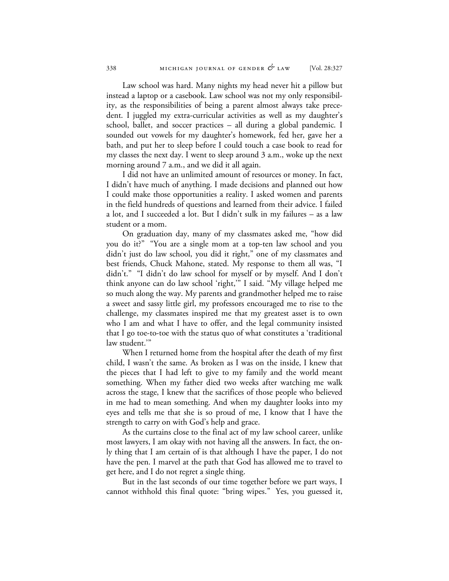Law school was hard. Many nights my head never hit a pillow but instead a laptop or a casebook. Law school was not my only responsibility, as the responsibilities of being a parent almost always take precedent. I juggled my extra-curricular activities as well as my daughter's school, ballet, and soccer practices – all during a global pandemic. I sounded out vowels for my daughter's homework, fed her, gave her a bath, and put her to sleep before I could touch a case book to read for my classes the next day. I went to sleep around 3 a.m., woke up the next morning around 7 a.m., and we did it all again.

I did not have an unlimited amount of resources or money. In fact, I didn't have much of anything. I made decisions and planned out how I could make those opportunities a reality. I asked women and parents in the field hundreds of questions and learned from their advice. I failed a lot, and I succeeded a lot. But I didn't sulk in my failures – as a law student or a mom.

On graduation day, many of my classmates asked me, "how did you do it?" "You are a single mom at a top-ten law school and you didn't just do law school, you did it right," one of my classmates and best friends, Chuck Mahone, stated. My response to them all was, "I didn't." "I didn't do law school for myself or by myself. And I don't think anyone can do law school 'right,'" I said. "My village helped me so much along the way. My parents and grandmother helped me to raise a sweet and sassy little girl, my professors encouraged me to rise to the challenge, my classmates inspired me that my greatest asset is to own who I am and what I have to offer, and the legal community insisted that I go toe-to-toe with the status quo of what constitutes a 'traditional law student.'"

When I returned home from the hospital after the death of my first child, I wasn't the same. As broken as I was on the inside, I knew that the pieces that I had left to give to my family and the world meant something. When my father died two weeks after watching me walk across the stage, I knew that the sacrifices of those people who believed in me had to mean something. And when my daughter looks into my eyes and tells me that she is so proud of me, I know that I have the strength to carry on with God's help and grace.

As the curtains close to the final act of my law school career, unlike most lawyers, I am okay with not having all the answers. In fact, the only thing that I am certain of is that although I have the paper, I do not have the pen. I marvel at the path that God has allowed me to travel to get here, and I do not regret a single thing.

But in the last seconds of our time together before we part ways, I cannot withhold this final quote: "bring wipes." Yes, you guessed it,